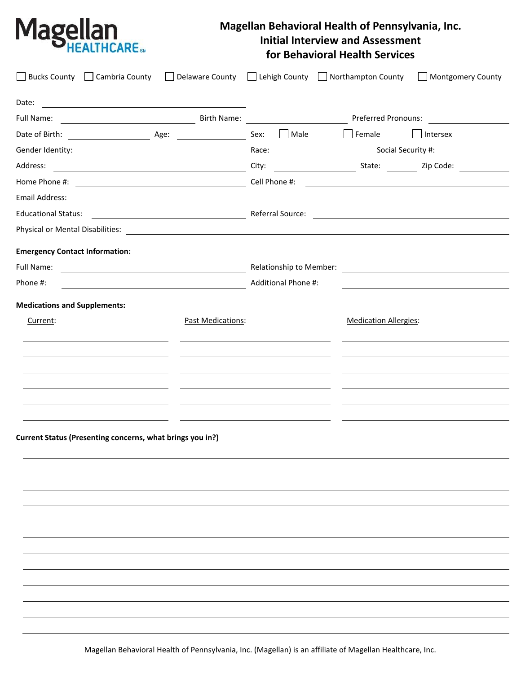

## **Magellan Behavioral Health of Pennsylvania, Inc. Initial Interview and Assessment for Behavioral Health Services**

|                                       | Bucks County Cambria County Collaware County Cuehigh County Northampton County Montgomery County                                                                                                                                     |                   |      |                              |                                                                                                                 |
|---------------------------------------|--------------------------------------------------------------------------------------------------------------------------------------------------------------------------------------------------------------------------------------|-------------------|------|------------------------------|-----------------------------------------------------------------------------------------------------------------|
| Date:                                 | <u> 1989 - Johann Harry Harry Harry Harry Harry Harry Harry Harry Harry Harry Harry Harry Harry Harry Harry Harry</u>                                                                                                                |                   |      |                              |                                                                                                                 |
|                                       |                                                                                                                                                                                                                                      |                   |      |                              |                                                                                                                 |
|                                       |                                                                                                                                                                                                                                      |                   | Male |                              | Female Intersex                                                                                                 |
|                                       |                                                                                                                                                                                                                                      |                   |      |                              |                                                                                                                 |
|                                       |                                                                                                                                                                                                                                      |                   |      |                              |                                                                                                                 |
|                                       |                                                                                                                                                                                                                                      |                   |      |                              |                                                                                                                 |
| Email Address:                        | <u> 1980 - Andrea State Barbara, amerikan personal dan personal dan personal dan personal dan personal dan personal dan personal dan personal dan personal dan personal dan personal dan personal dan personal dan personal dan </u> |                   |      |                              |                                                                                                                 |
|                                       | Educational Status: 2000 Contract Contract Contract Contract Contract Contract Contract Contract Contract Contract Contract Contract Contract Contract Contract Contract Contract Contract Contract Contract Contract Contract       |                   |      |                              |                                                                                                                 |
|                                       |                                                                                                                                                                                                                                      |                   |      |                              |                                                                                                                 |
| <b>Emergency Contact Information:</b> |                                                                                                                                                                                                                                      |                   |      |                              |                                                                                                                 |
| Full Name:                            | <u> 1989 - Johann Barbara, martin amerikan basal da</u>                                                                                                                                                                              |                   |      |                              | Relationship to Member: 2008 2014 2022 2023 2024 2022 2023 2024 2022 2023 2024 2022 2023 2024 2022 2023 2024 20 |
| Phone #:                              | Additional Phone #:                                                                                                                                                                                                                  |                   |      |                              |                                                                                                                 |
| <b>Medications and Supplements:</b>   |                                                                                                                                                                                                                                      |                   |      |                              |                                                                                                                 |
| Current:                              |                                                                                                                                                                                                                                      | Past Medications: |      | <b>Medication Allergies:</b> |                                                                                                                 |
|                                       |                                                                                                                                                                                                                                      |                   |      |                              |                                                                                                                 |
|                                       |                                                                                                                                                                                                                                      |                   |      |                              |                                                                                                                 |
|                                       |                                                                                                                                                                                                                                      |                   |      |                              |                                                                                                                 |
|                                       |                                                                                                                                                                                                                                      |                   |      |                              |                                                                                                                 |
|                                       |                                                                                                                                                                                                                                      |                   |      |                              |                                                                                                                 |
|                                       |                                                                                                                                                                                                                                      |                   |      |                              |                                                                                                                 |
|                                       | Current Status (Presenting concerns, what brings you in?)                                                                                                                                                                            |                   |      |                              |                                                                                                                 |
|                                       |                                                                                                                                                                                                                                      |                   |      |                              |                                                                                                                 |
|                                       |                                                                                                                                                                                                                                      |                   |      |                              |                                                                                                                 |
|                                       |                                                                                                                                                                                                                                      |                   |      |                              |                                                                                                                 |
|                                       |                                                                                                                                                                                                                                      |                   |      |                              |                                                                                                                 |
|                                       |                                                                                                                                                                                                                                      |                   |      |                              |                                                                                                                 |
|                                       |                                                                                                                                                                                                                                      |                   |      |                              |                                                                                                                 |
|                                       |                                                                                                                                                                                                                                      |                   |      |                              |                                                                                                                 |
|                                       |                                                                                                                                                                                                                                      |                   |      |                              |                                                                                                                 |
|                                       |                                                                                                                                                                                                                                      |                   |      |                              |                                                                                                                 |
|                                       |                                                                                                                                                                                                                                      |                   |      |                              |                                                                                                                 |
|                                       |                                                                                                                                                                                                                                      |                   |      |                              |                                                                                                                 |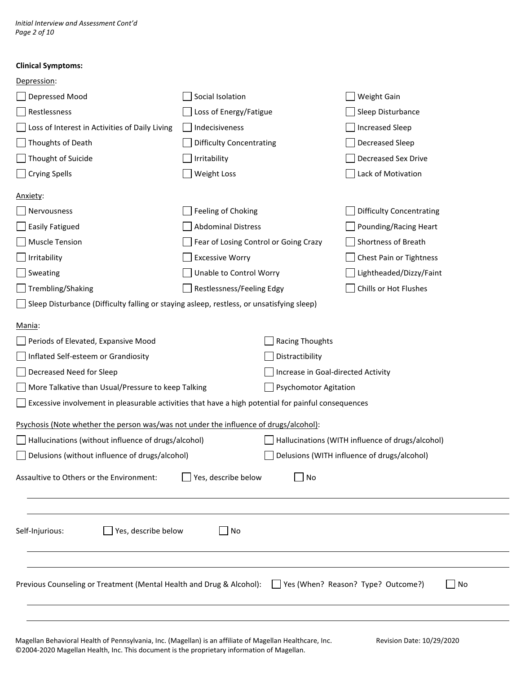*Initial Interview and Assessment Cont'd Page 2 of 10*

## **Clinical Symptoms:**

| Depression:                                                                                                  |                                       |                                    |                                                  |  |  |  |
|--------------------------------------------------------------------------------------------------------------|---------------------------------------|------------------------------------|--------------------------------------------------|--|--|--|
| Depressed Mood                                                                                               | Social Isolation                      |                                    | Weight Gain                                      |  |  |  |
| Restlessness                                                                                                 | Loss of Energy/Fatigue                |                                    | Sleep Disturbance                                |  |  |  |
| Loss of Interest in Activities of Daily Living                                                               | Indecisiveness                        |                                    | <b>Increased Sleep</b>                           |  |  |  |
| Thoughts of Death                                                                                            | <b>Difficulty Concentrating</b>       |                                    | Decreased Sleep                                  |  |  |  |
| Thought of Suicide                                                                                           | Irritability                          |                                    | Decreased Sex Drive                              |  |  |  |
| $\Box$ Crying Spells                                                                                         | Weight Loss                           |                                    | Lack of Motivation                               |  |  |  |
| <u> Anxiety:</u>                                                                                             |                                       |                                    |                                                  |  |  |  |
| Nervousness                                                                                                  | Feeling of Choking                    |                                    | <b>Difficulty Concentrating</b>                  |  |  |  |
| Sasily Fatigued                                                                                              | <b>Abdominal Distress</b>             |                                    | Pounding/Racing Heart                            |  |  |  |
| Muscle Tension                                                                                               | Fear of Losing Control or Going Crazy |                                    | Shortness of Breath                              |  |  |  |
| $\Box$ Irritability                                                                                          | <b>Excessive Worry</b>                |                                    | Chest Pain or Tightness                          |  |  |  |
| $\Box$ Sweating                                                                                              | Unable to Control Worry               |                                    | Lightheaded/Dizzy/Faint                          |  |  |  |
| Trembling/Shaking                                                                                            | Restlessness/Feeling Edgy             |                                    | Chills or Hot Flushes                            |  |  |  |
| $\Box$ Sleep Disturbance (Difficulty falling or staying asleep, restless, or unsatisfying sleep)             |                                       |                                    |                                                  |  |  |  |
| Mania:                                                                                                       |                                       |                                    |                                                  |  |  |  |
| Periods of Elevated, Expansive Mood                                                                          |                                       | <b>Racing Thoughts</b>             |                                                  |  |  |  |
| Inflated Self-esteem or Grandiosity                                                                          |                                       | Distractibility                    |                                                  |  |  |  |
| Decreased Need for Sleep                                                                                     |                                       | Increase in Goal-directed Activity |                                                  |  |  |  |
| More Talkative than Usual/Pressure to keep Talking                                                           |                                       | <b>Psychomotor Agitation</b>       |                                                  |  |  |  |
| $\Box$ Excessive involvement in pleasurable activities that have a high potential for painful consequences   |                                       |                                    |                                                  |  |  |  |
| Psychosis (Note whether the person was/was not under the influence of drugs/alcohol):                        |                                       |                                    |                                                  |  |  |  |
| Hallucinations (without influence of drugs/alcohol)                                                          |                                       |                                    | Hallucinations (WITH influence of drugs/alcohol) |  |  |  |
| Delusions (without influence of drugs/alcohol)                                                               |                                       |                                    | Delusions (WITH influence of drugs/alcohol)      |  |  |  |
| Assaultive to Others or the Environment:                                                                     | Yes, describe below                   | No                                 |                                                  |  |  |  |
| Yes, describe below<br>Self-Injurious:                                                                       | $ $ No                                |                                    |                                                  |  |  |  |
| Previous Counseling or Treatment (Mental Health and Drug & Alcohol): [16] Yes (When? Reason? Type? Outcome?) |                                       |                                    | No<br>$\blacksquare$                             |  |  |  |
|                                                                                                              |                                       |                                    |                                                  |  |  |  |
| Magellan Behavioral Health of Pennsylvania, Inc. (Magellan) is an affiliate of Magellan Healthcare, Inc.     |                                       |                                    | Revision Date: 10/29/2020                        |  |  |  |

©2004-2020 Magellan Health, Inc. This document is the proprietary information of Magellan.

 $\overline{\phantom{0}}$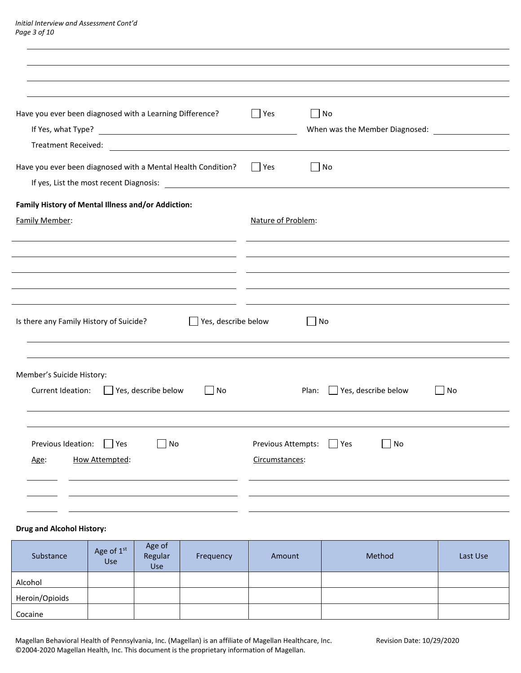| Have you ever been diagnosed with a Learning Difference?<br>If Yes, what Type?<br><u> 1980 - Johann Barn, fransk politik fotograf (d. 1980)</u> | $\Box$ Yes                           | │ No<br>When was the Member Diagnosed: |  |
|-------------------------------------------------------------------------------------------------------------------------------------------------|--------------------------------------|----------------------------------------|--|
| Have you ever been diagnosed with a Mental Health Condition?                                                                                    | $\Box$ Yes                           | $\bigsqcup$ No                         |  |
| Family History of Mental Illness and/or Addiction:<br>Family Member:                                                                            | Nature of Problem:                   |                                        |  |
|                                                                                                                                                 |                                      |                                        |  |
|                                                                                                                                                 |                                      |                                        |  |
| $\Box$ Yes, describe below<br>Is there any Family History of Suicide?                                                                           |                                      | No                                     |  |
| Member's Suicide History:<br>Current Ideation:<br>Yes, describe below<br>$\Box$ No                                                              |                                      | Yes, describe below<br>Plan:<br>  No   |  |
| Previous Ideation:<br>$\vert$ Yes<br>No<br>How Attempted:<br>Age:                                                                               | Previous Attempts:<br>Circumstances: | Yes<br>  No                            |  |
|                                                                                                                                                 |                                      |                                        |  |

## **Drug and Alcohol History:**

| Substance      | Age of 1st<br>Use | Age of<br>Regular<br>Use | Frequency | Amount | Method | Last Use |
|----------------|-------------------|--------------------------|-----------|--------|--------|----------|
| Alcohol        |                   |                          |           |        |        |          |
| Heroin/Opioids |                   |                          |           |        |        |          |
| Cocaine        |                   |                          |           |        |        |          |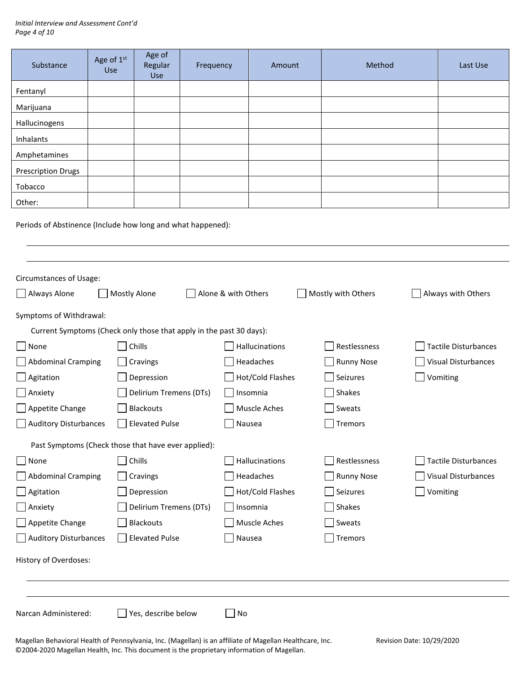| Substance                                                           | Age of 1st<br>Use                                                                      | Age of<br>Regular<br>Use | Frequency |              | Amount                  |        | Method            |  | Last Use                    |
|---------------------------------------------------------------------|----------------------------------------------------------------------------------------|--------------------------|-----------|--------------|-------------------------|--------|-------------------|--|-----------------------------|
| Fentanyl                                                            |                                                                                        |                          |           |              |                         |        |                   |  |                             |
| Marijuana                                                           |                                                                                        |                          |           |              |                         |        |                   |  |                             |
| Hallucinogens                                                       |                                                                                        |                          |           |              |                         |        |                   |  |                             |
| Inhalants                                                           |                                                                                        |                          |           |              |                         |        |                   |  |                             |
| Amphetamines                                                        |                                                                                        |                          |           |              |                         |        |                   |  |                             |
| <b>Prescription Drugs</b>                                           |                                                                                        |                          |           |              |                         |        |                   |  |                             |
| Tobacco                                                             |                                                                                        |                          |           |              |                         |        |                   |  |                             |
| Other:                                                              |                                                                                        |                          |           |              |                         |        |                   |  |                             |
| Periods of Abstinence (Include how long and what happened):         |                                                                                        |                          |           |              |                         |        |                   |  |                             |
|                                                                     |                                                                                        |                          |           |              |                         |        |                   |  |                             |
| <b>Circumstances of Usage:</b>                                      |                                                                                        |                          |           |              |                         |        |                   |  |                             |
| $\Box$ Always Alone                                                 | <b>Mostly Alone</b><br>Alone & with Others<br>Mostly with Others<br>Always with Others |                          |           |              |                         |        |                   |  |                             |
| Symptoms of Withdrawal:                                             |                                                                                        |                          |           |              |                         |        |                   |  |                             |
| Current Symptoms (Check only those that apply in the past 30 days): |                                                                                        |                          |           |              |                         |        |                   |  |                             |
| None                                                                |                                                                                        | Chills                   |           |              | Hallucinations          |        | Restlessness      |  | <b>Tactile Disturbances</b> |
| <b>Abdominal Cramping</b>                                           |                                                                                        | Cravings                 |           |              | Headaches               |        | <b>Runny Nose</b> |  | Visual Disturbances         |
| Agitation                                                           |                                                                                        | Depression               |           |              | Hot/Cold Flashes        |        | Seizures          |  | Vomiting                    |
| Anxiety                                                             |                                                                                        | Delirium Tremens (DTs)   |           |              | Insomnia                |        | Shakes            |  |                             |
| Appetite Change                                                     |                                                                                        | Blackouts                |           |              | Muscle Aches            |        | Sweats            |  |                             |
| <b>Auditory Disturbances</b>                                        |                                                                                        | <b>Elevated Pulse</b>    |           | Nausea       |                         |        | Tremors           |  |                             |
| Past Symptoms (Check those that have ever applied):                 |                                                                                        |                          |           |              |                         |        |                   |  |                             |
| $\vert$ None                                                        |                                                                                        | Chills                   |           |              | Hallucinations          |        | Restlessness      |  | <b>Tactile Disturbances</b> |
| <b>Abdominal Cramping</b>                                           |                                                                                        | Cravings                 |           |              | Headaches               |        | <b>Runny Nose</b> |  | Visual Disturbances         |
| $\rfloor$ Agitation                                                 |                                                                                        | Depression               |           |              | <b>Hot/Cold Flashes</b> |        | Seizures          |  | Vomiting                    |
| Anxiety                                                             |                                                                                        | Delirium Tremens (DTs)   |           |              | Insomnia                |        | Shakes            |  |                             |
| Appetite Change                                                     | <b>Blackouts</b>                                                                       |                          |           | Muscle Aches |                         | Sweats |                   |  |                             |
| <b>Auditory Disturbances</b>                                        |                                                                                        | <b>Elevated Pulse</b>    |           | Nausea       |                         |        | <b>Tremors</b>    |  |                             |
| History of Overdoses:                                               |                                                                                        |                          |           |              |                         |        |                   |  |                             |
|                                                                     |                                                                                        |                          |           |              |                         |        |                   |  |                             |
| Narcan Administered:                                                |                                                                                        | Yes, describe below      |           | No           |                         |        |                   |  |                             |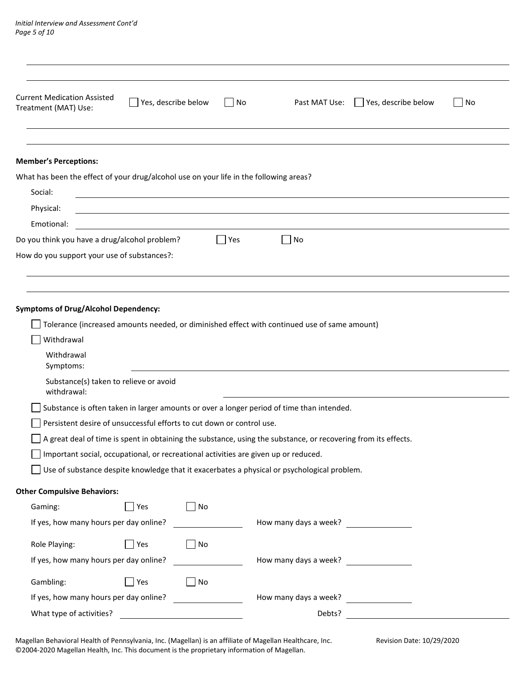| <b>Current Medication Assisted</b><br>Yes, describe below<br>  No<br>Treatment (MAT) Use:                                                                                                                                                                                                                                                                                                                                                                                                                                                                                                                                                                                                                                   | Past MAT Use:<br>$\Box$ Yes, describe below<br>    No |
|-----------------------------------------------------------------------------------------------------------------------------------------------------------------------------------------------------------------------------------------------------------------------------------------------------------------------------------------------------------------------------------------------------------------------------------------------------------------------------------------------------------------------------------------------------------------------------------------------------------------------------------------------------------------------------------------------------------------------------|-------------------------------------------------------|
|                                                                                                                                                                                                                                                                                                                                                                                                                                                                                                                                                                                                                                                                                                                             |                                                       |
| <b>Member's Perceptions:</b>                                                                                                                                                                                                                                                                                                                                                                                                                                                                                                                                                                                                                                                                                                |                                                       |
| What has been the effect of your drug/alcohol use on your life in the following areas?                                                                                                                                                                                                                                                                                                                                                                                                                                                                                                                                                                                                                                      |                                                       |
| Social:                                                                                                                                                                                                                                                                                                                                                                                                                                                                                                                                                                                                                                                                                                                     |                                                       |
| Physical:                                                                                                                                                                                                                                                                                                                                                                                                                                                                                                                                                                                                                                                                                                                   |                                                       |
| Emotional:                                                                                                                                                                                                                                                                                                                                                                                                                                                                                                                                                                                                                                                                                                                  |                                                       |
| Do you think you have a drug/alcohol problem?<br>  Yes                                                                                                                                                                                                                                                                                                                                                                                                                                                                                                                                                                                                                                                                      | No                                                    |
| How do you support your use of substances?:                                                                                                                                                                                                                                                                                                                                                                                                                                                                                                                                                                                                                                                                                 |                                                       |
|                                                                                                                                                                                                                                                                                                                                                                                                                                                                                                                                                                                                                                                                                                                             |                                                       |
| <b>Symptoms of Drug/Alcohol Dependency:</b><br>Tolerance (increased amounts needed, or diminished effect with continued use of same amount)<br>Withdrawal<br>Withdrawal<br>Symptoms:<br>Substance(s) taken to relieve or avoid<br>withdrawal:<br>Substance is often taken in larger amounts or over a longer period of time than intended.<br>Persistent desire of unsuccessful efforts to cut down or control use.<br>A great deal of time is spent in obtaining the substance, using the substance, or recovering from its effects.<br>Important social, occupational, or recreational activities are given up or reduced.<br>Use of substance despite knowledge that it exacerbates a physical or psychological problem. |                                                       |
| <b>Other Compulsive Behaviors:</b>                                                                                                                                                                                                                                                                                                                                                                                                                                                                                                                                                                                                                                                                                          |                                                       |
| $\Box$ Yes<br>$\Box$ No<br>Gaming:                                                                                                                                                                                                                                                                                                                                                                                                                                                                                                                                                                                                                                                                                          |                                                       |
| If yes, how many hours per day online?                                                                                                                                                                                                                                                                                                                                                                                                                                                                                                                                                                                                                                                                                      |                                                       |
|                                                                                                                                                                                                                                                                                                                                                                                                                                                                                                                                                                                                                                                                                                                             |                                                       |
| Role Playing:<br>$\blacksquare$ Yes<br>$\Box$ No                                                                                                                                                                                                                                                                                                                                                                                                                                                                                                                                                                                                                                                                            |                                                       |
| If yes, how many hours per day online?<br><u> Liberal Communication</u>                                                                                                                                                                                                                                                                                                                                                                                                                                                                                                                                                                                                                                                     |                                                       |
| Gambling:<br>$\blacksquare$ Yes<br>No                                                                                                                                                                                                                                                                                                                                                                                                                                                                                                                                                                                                                                                                                       |                                                       |
| If yes, how many hours per day online?                                                                                                                                                                                                                                                                                                                                                                                                                                                                                                                                                                                                                                                                                      | How many days a week?                                 |
| What type of activities?<br><u> 1980 - Johann Barbara, martin a</u>                                                                                                                                                                                                                                                                                                                                                                                                                                                                                                                                                                                                                                                         | Debts?                                                |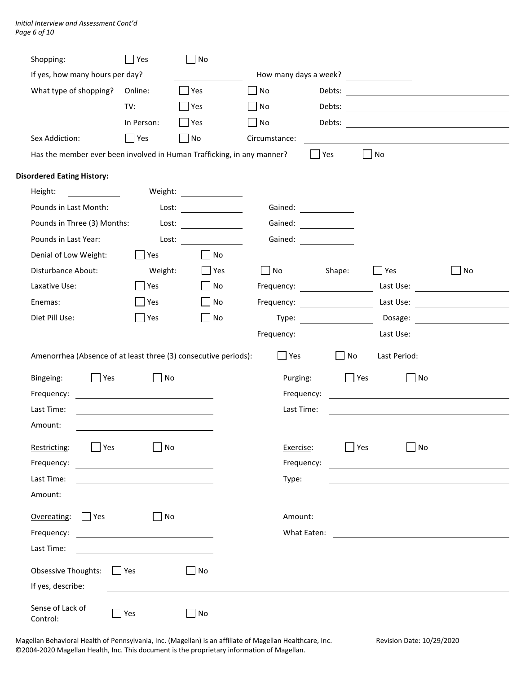| Shopping:                                                              | Yes                                          | No                          |                |                                                                                                                                                                                                                                      |                                                                                                                                                                                                                                      |                                        |
|------------------------------------------------------------------------|----------------------------------------------|-----------------------------|----------------|--------------------------------------------------------------------------------------------------------------------------------------------------------------------------------------------------------------------------------------|--------------------------------------------------------------------------------------------------------------------------------------------------------------------------------------------------------------------------------------|----------------------------------------|
| If yes, how many hours per day?                                        |                                              |                             |                |                                                                                                                                                                                                                                      |                                                                                                                                                                                                                                      |                                        |
| What type of shopping?                                                 | Online:                                      | <b>Yes</b>                  | No             | Debts:                                                                                                                                                                                                                               | <u> 1980 - Jan Samuel Barbara, martin d</u>                                                                                                                                                                                          |                                        |
|                                                                        | TV:                                          | Yes                         | N <sub>O</sub> |                                                                                                                                                                                                                                      |                                                                                                                                                                                                                                      |                                        |
|                                                                        | In Person:                                   | $ $   Yes                   | $\Box$ No      | Debts:                                                                                                                                                                                                                               |                                                                                                                                                                                                                                      |                                        |
| Sex Addiction:                                                         | $\Box$ Yes                                   | $\Box$ No                   | Circumstance:  |                                                                                                                                                                                                                                      |                                                                                                                                                                                                                                      |                                        |
| Has the member ever been involved in Human Trafficking, in any manner? |                                              |                             |                | Yes                                                                                                                                                                                                                                  | $\Box$ No                                                                                                                                                                                                                            |                                        |
| <b>Disordered Eating History:</b>                                      |                                              |                             |                |                                                                                                                                                                                                                                      |                                                                                                                                                                                                                                      |                                        |
| Height:                                                                |                                              |                             |                |                                                                                                                                                                                                                                      |                                                                                                                                                                                                                                      |                                        |
| Pounds in Last Month:                                                  |                                              | $\textsf{lost:}$            |                |                                                                                                                                                                                                                                      |                                                                                                                                                                                                                                      |                                        |
| Pounds in Three (3) Months:                                            |                                              | Loss:                       |                | Gained:                                                                                                                                                                                                                              |                                                                                                                                                                                                                                      |                                        |
| Pounds in Last Year:                                                   | Lost:                                        |                             | Gained:        | <u>and the state of the state of the state of the state of the state of the state of the state of the state of the state of the state of the state of the state of the state of the state of the state of the state of the state</u> |                                                                                                                                                                                                                                      |                                        |
| Denial of Low Weight:                                                  | Yes                                          | $\exists$ No                |                |                                                                                                                                                                                                                                      |                                                                                                                                                                                                                                      |                                        |
| Disturbance About:                                                     | Weight:                                      | $\Box$ Yes                  | $\Box$ No      | Shape:                                                                                                                                                                                                                               | $\Box$ Yes                                                                                                                                                                                                                           | $\Box$ No                              |
| Laxative Use:                                                          | Yes                                          | $\Box$ No                   |                | Frequency: The control of the control of the control of the control of the control of the control of the control of the control of the control of the control of the control of the control of the control of the control of t       |                                                                                                                                                                                                                                      | Last Use: <u>__________________</u>    |
| Enemas:                                                                | <b>Yes</b>                                   | $\Box$ No                   |                |                                                                                                                                                                                                                                      |                                                                                                                                                                                                                                      | Last Use: <u>_______________</u>       |
| Diet Pill Use:                                                         | <b>Yes</b>                                   | $\overline{\phantom{a}}$ No |                | Type: the contract of the contract of the contract of the contract of the contract of the contract of the contract of the contract of the contract of the contract of the contract of the contract of the contract of the cont       |                                                                                                                                                                                                                                      |                                        |
|                                                                        |                                              |                             |                | Frequency: The contract of the contract of the contract of the contract of the contract of the contract of the                                                                                                                       |                                                                                                                                                                                                                                      |                                        |
| Amenorrhea (Absence of at least three (3) consecutive periods):        |                                              |                             | Yes            | $\vert$ $\vert$ No                                                                                                                                                                                                                   |                                                                                                                                                                                                                                      | Last Period: <u>__________________</u> |
| Yes<br>Bingeing:                                                       | $\Box$ No                                    |                             | Purging:       |                                                                                                                                                                                                                                      | $\Box$ Yes<br>$\Box$ No                                                                                                                                                                                                              |                                        |
| Frequency:                                                             |                                              |                             |                | Frequency:                                                                                                                                                                                                                           |                                                                                                                                                                                                                                      |                                        |
| Last Time:                                                             |                                              |                             | Last Time:     |                                                                                                                                                                                                                                      |                                                                                                                                                                                                                                      |                                        |
| Amount:                                                                |                                              |                             |                |                                                                                                                                                                                                                                      |                                                                                                                                                                                                                                      |                                        |
| Restricting:<br>$ $ Yes                                                | No                                           |                             | Exercise:      |                                                                                                                                                                                                                                      | Yes<br>No                                                                                                                                                                                                                            |                                        |
| Frequency:                                                             |                                              |                             |                | Frequency:                                                                                                                                                                                                                           | <u>and the contract of the contract of the contract of the contract of the contract of the contract of the contract of the contract of the contract of the contract of the contract of the contract of the contract of the contr</u> |                                        |
| Last Time:                                                             |                                              |                             | Type:          |                                                                                                                                                                                                                                      |                                                                                                                                                                                                                                      |                                        |
| Amount:                                                                |                                              |                             |                |                                                                                                                                                                                                                                      |                                                                                                                                                                                                                                      |                                        |
|                                                                        |                                              |                             |                |                                                                                                                                                                                                                                      |                                                                                                                                                                                                                                      |                                        |
| $\Box$ Yes<br>Overeating:                                              | No<br><b>Contract</b>                        |                             | Amount:        |                                                                                                                                                                                                                                      |                                                                                                                                                                                                                                      |                                        |
| Frequency:<br>Last Time:                                               | <u> 1989 - Andrea Station Barbara (h. 19</u> |                             |                | What Eaten:                                                                                                                                                                                                                          | <u> 1989 - Andrea Station Barbara, amerikan personal (h. 1989)</u>                                                                                                                                                                   |                                        |
|                                                                        |                                              |                             |                |                                                                                                                                                                                                                                      |                                                                                                                                                                                                                                      |                                        |
| Obsessive Thoughts:                                                    | $ $ Yes                                      | No                          |                |                                                                                                                                                                                                                                      |                                                                                                                                                                                                                                      |                                        |
| If yes, describe:                                                      |                                              |                             |                |                                                                                                                                                                                                                                      |                                                                                                                                                                                                                                      |                                        |
| Sense of Lack of<br>Control:                                           | $\Box$ Yes                                   | $\Box$ No                   |                |                                                                                                                                                                                                                                      |                                                                                                                                                                                                                                      |                                        |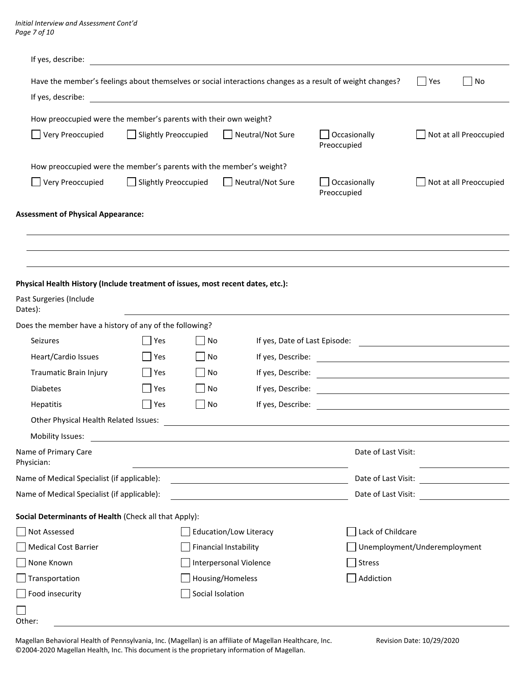| If yes, describe:                                                               |                                                                     |                                                                                                                       |                             |                                    |  |  |
|---------------------------------------------------------------------------------|---------------------------------------------------------------------|-----------------------------------------------------------------------------------------------------------------------|-----------------------------|------------------------------------|--|--|
|                                                                                 |                                                                     | Have the member's feelings about themselves or social interactions changes as a result of weight changes?             |                             | Yes<br>$\overline{\phantom{a}}$ No |  |  |
| If yes, describe:                                                               |                                                                     | <u> 1989 - Johann Barbara, martin amerikan basal dan berasal dan berasal dalam basal dalam basal dalam basal dala</u> |                             |                                    |  |  |
|                                                                                 | How preoccupied were the member's parents with their own weight?    |                                                                                                                       |                             |                                    |  |  |
| Very Preoccupied                                                                | Slightly Preoccupied<br>$\mathbf{1}$                                | Neutral/Not Sure                                                                                                      | Occasionally<br>Preoccupied | Not at all Preoccupied             |  |  |
|                                                                                 | How preoccupied were the member's parents with the member's weight? |                                                                                                                       |                             |                                    |  |  |
| Very Preoccupied                                                                | Slightly Preoccupied<br>$\mathsf{I}$                                | Neutral/Not Sure                                                                                                      | Occasionally<br>Preoccupied | Not at all Preoccupied             |  |  |
| <b>Assessment of Physical Appearance:</b>                                       |                                                                     |                                                                                                                       |                             |                                    |  |  |
|                                                                                 |                                                                     |                                                                                                                       |                             |                                    |  |  |
|                                                                                 |                                                                     |                                                                                                                       |                             |                                    |  |  |
| Physical Health History (Include treatment of issues, most recent dates, etc.): |                                                                     |                                                                                                                       |                             |                                    |  |  |
| Past Surgeries (Include<br>Dates):                                              |                                                                     |                                                                                                                       |                             |                                    |  |  |
| Does the member have a history of any of the following?                         |                                                                     |                                                                                                                       |                             |                                    |  |  |
| Seizures                                                                        | Yes                                                                 | No                                                                                                                    |                             |                                    |  |  |
| Heart/Cardio Issues                                                             | Yes                                                                 | No                                                                                                                    |                             |                                    |  |  |
| Traumatic Brain Injury                                                          | Yes<br>  No                                                         |                                                                                                                       |                             |                                    |  |  |
| <b>Diabetes</b>                                                                 | Yes<br>$\overline{\phantom{a}}$ No                                  |                                                                                                                       |                             |                                    |  |  |
| Hepatitis                                                                       | Yes<br>$\Box$ No                                                    |                                                                                                                       |                             |                                    |  |  |
| Other Physical Health Related Issues:                                           |                                                                     |                                                                                                                       |                             |                                    |  |  |
| Mobility Issues:                                                                |                                                                     |                                                                                                                       |                             |                                    |  |  |
| Name of Primary Care<br>Physician:                                              |                                                                     |                                                                                                                       | Date of Last Visit:         |                                    |  |  |
| Name of Medical Specialist (if applicable):                                     |                                                                     |                                                                                                                       | Date of Last Visit:         |                                    |  |  |
| Name of Medical Specialist (if applicable):                                     |                                                                     |                                                                                                                       |                             |                                    |  |  |
| Social Determinants of Health (Check all that Apply):                           |                                                                     |                                                                                                                       |                             |                                    |  |  |
| Not Assessed                                                                    |                                                                     | Education/Low Literacy                                                                                                |                             | Lack of Childcare                  |  |  |
| <b>Medical Cost Barrier</b>                                                     |                                                                     | <b>Financial Instability</b>                                                                                          |                             | Unemployment/Underemployment       |  |  |
| None Known                                                                      |                                                                     | <b>Interpersonal Violence</b>                                                                                         | Stress                      |                                    |  |  |
| Transportation                                                                  |                                                                     | Housing/Homeless                                                                                                      | Addiction                   |                                    |  |  |
| Food insecurity                                                                 |                                                                     | Social Isolation                                                                                                      |                             |                                    |  |  |
|                                                                                 |                                                                     |                                                                                                                       |                             |                                    |  |  |

Other: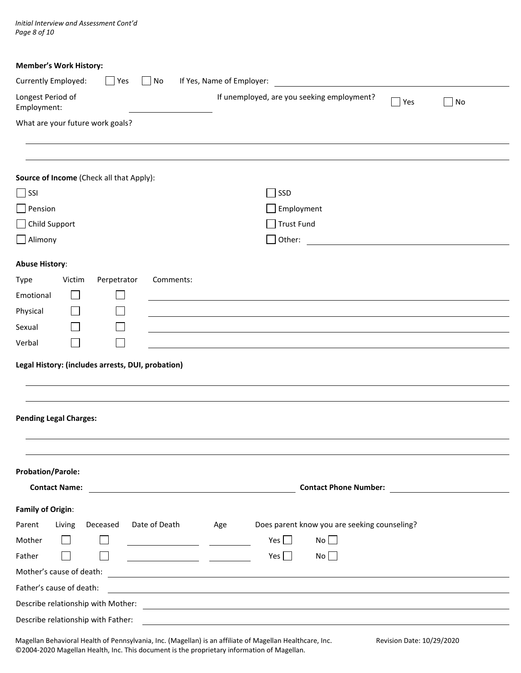*Initial Interview and Assessment Cont'd Page 8 of 10*

| <b>Member's Work History:</b>                     |                                                                                                                      |
|---------------------------------------------------|----------------------------------------------------------------------------------------------------------------------|
| Currently Employed:<br>No<br>Yes                  | If Yes, Name of Employer:<br><u> 1989 - Johann Barbara, martxa a</u>                                                 |
| Longest Period of<br>Employment:                  | If unemployed, are you seeking employment?<br>$\blacksquare$ Yes<br>$ $ No                                           |
| What are your future work goals?                  |                                                                                                                      |
|                                                   |                                                                                                                      |
|                                                   |                                                                                                                      |
| Source of Income (Check all that Apply):          |                                                                                                                      |
| $\Box$ SSI                                        | SSD                                                                                                                  |
| $\Box$ Pension                                    | Employment                                                                                                           |
| Child Support                                     | Trust Fund                                                                                                           |
| $\Box$ Alimony                                    | $\Box$ Other:<br><u> 1980 - Jan Barbara Barat, prima politik po</u>                                                  |
| <b>Abuse History:</b>                             |                                                                                                                      |
| Victim<br>Perpetrator<br>Comments:<br>Type        |                                                                                                                      |
| Emotional                                         |                                                                                                                      |
| Physical                                          |                                                                                                                      |
| Sexual                                            |                                                                                                                      |
| Verbal                                            |                                                                                                                      |
|                                                   |                                                                                                                      |
| Legal History: (includes arrests, DUI, probation) |                                                                                                                      |
|                                                   |                                                                                                                      |
|                                                   |                                                                                                                      |
| <b>Pending Legal Charges:</b>                     |                                                                                                                      |
|                                                   |                                                                                                                      |
|                                                   |                                                                                                                      |
| <b>Probation/Parole:</b>                          |                                                                                                                      |
| <b>Contact Name:</b>                              | <b>Contact Phone Number:</b> The Contact Phone Number:                                                               |
| <b>Family of Origin:</b>                          |                                                                                                                      |
| Deceased<br>Date of Death<br>Living<br>Parent     | Does parent know you are seeking counseling?<br>Age                                                                  |
| Mother                                            | Yes $\Box$<br>$No$                                                                                                   |
| Father                                            | Yes $\Box$<br>No                                                                                                     |
| Mother's cause of death:                          | <u> 1989 - Johann Stein, mars an deus Amerikaansk kommunister (</u>                                                  |
| Father's cause of death:                          | <u> 1980 - Johann Stoff, deutscher Stoffen und der Stoffen und der Stoffen und der Stoffen und der Stoffen und d</u> |
|                                                   |                                                                                                                      |
| Describe relationship with Father:                |                                                                                                                      |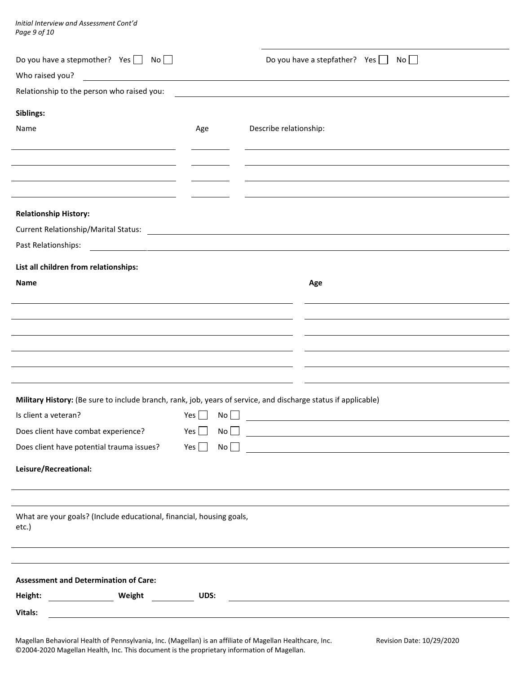*Initial Interview and Assessment Cont'd Page 9 of 10*

l.

| Do you have a stepmother? Yes $\Box$ No $\Box$<br>Who raised you?                                                                      |           | Do you have a stepfather? Yes $\Box$<br>No        |
|----------------------------------------------------------------------------------------------------------------------------------------|-----------|---------------------------------------------------|
| Relationship to the person who raised you:                                                                                             |           |                                                   |
| Siblings:                                                                                                                              |           |                                                   |
| Name                                                                                                                                   | Age       | Describe relationship:                            |
|                                                                                                                                        |           |                                                   |
|                                                                                                                                        |           |                                                   |
|                                                                                                                                        |           |                                                   |
| <b>Relationship History:</b>                                                                                                           |           |                                                   |
| Past Relationships:<br><u> 1989 - Johann John Stein, fransk politik (d. 1989)</u>                                                      |           |                                                   |
| List all children from relationships:                                                                                                  |           |                                                   |
| <b>Name</b>                                                                                                                            |           | Age                                               |
|                                                                                                                                        |           |                                                   |
|                                                                                                                                        |           |                                                   |
|                                                                                                                                        |           |                                                   |
|                                                                                                                                        |           |                                                   |
|                                                                                                                                        |           |                                                   |
| Military History: (Be sure to include branch, rank, job, years of service, and discharge status if applicable)<br>Is client a veteran? | Yes<br>No | <u> 1989 - Johann Barn, mars et al. (b. 1989)</u> |
| Does client have combat experience?                                                                                                    |           | $Yes \ \blacksquare$ No $\square$                 |
| Does client have potential trauma issues?                                                                                              |           | $Yes \ \ \ \ \ \$ \ No \ \ \ \ \ \ \              |
| Leisure/Recreational:                                                                                                                  |           |                                                   |
|                                                                                                                                        |           |                                                   |
| What are your goals? (Include educational, financial, housing goals,<br>etc.)                                                          |           |                                                   |
|                                                                                                                                        |           |                                                   |
| <b>Assessment and Determination of Care:</b>                                                                                           |           |                                                   |
| Vitals:                                                                                                                                |           |                                                   |
|                                                                                                                                        |           |                                                   |